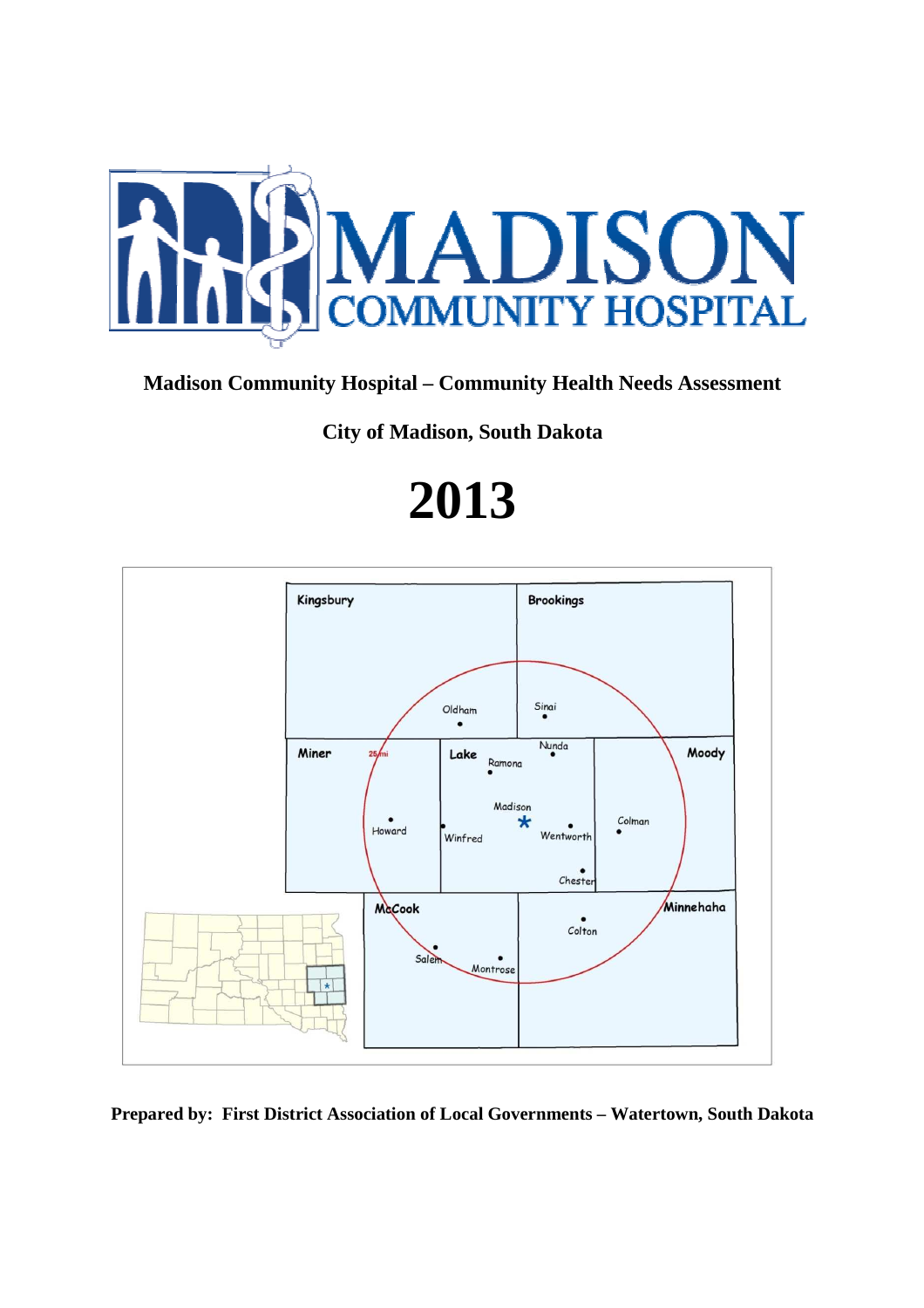

# **Madison Community Hospital – Community Health Needs Assessment**

**City of Madison, South Dakota** 

# **2013**



**Prepared by: First District Association of Local Governments – Watertown, South Dakota**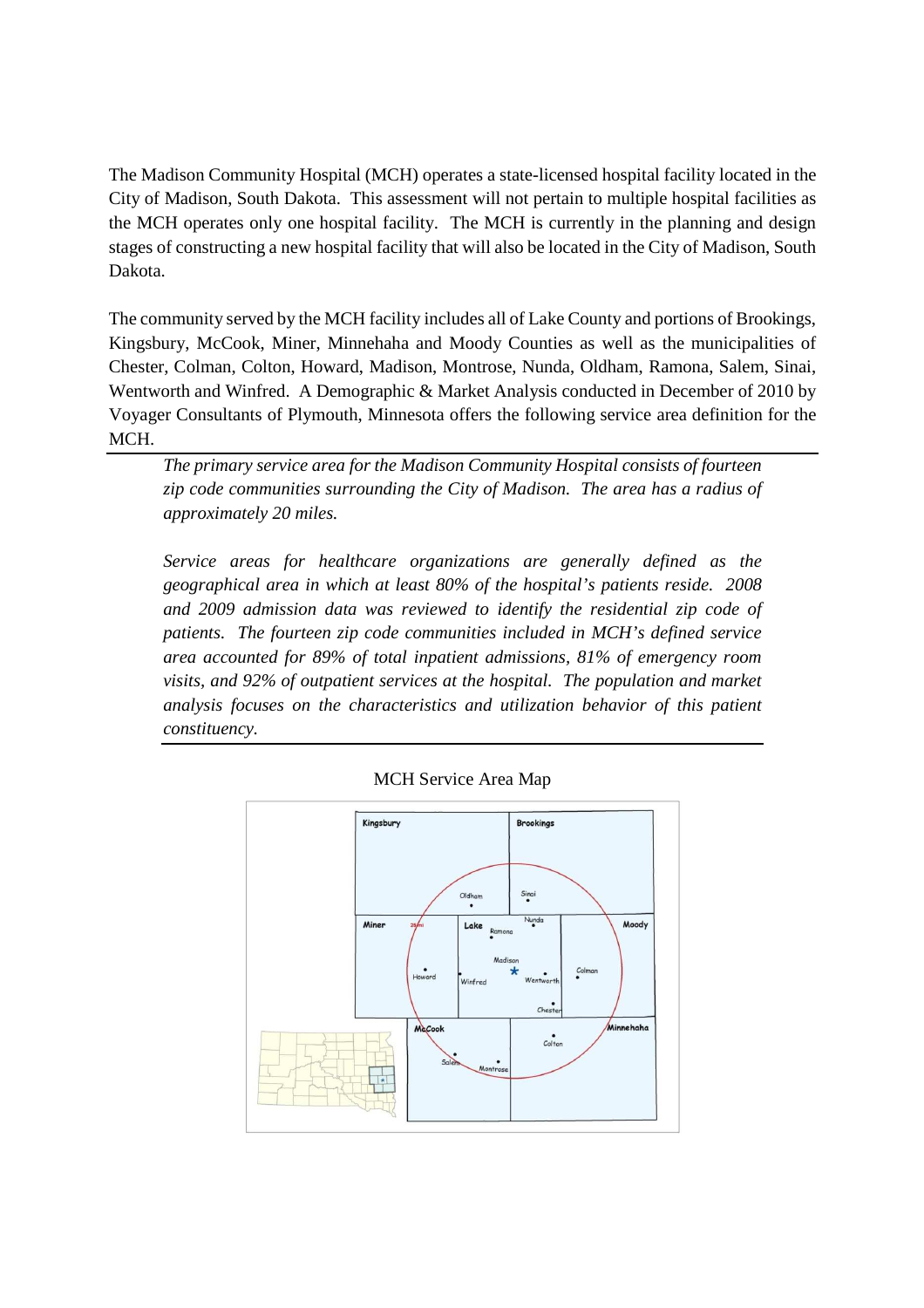The Madison Community Hospital (MCH) operates a state-licensed hospital facility located in the City of Madison, South Dakota. This assessment will not pertain to multiple hospital facilities as the MCH operates only one hospital facility. The MCH is currently in the planning and design stages of constructing a new hospital facility that will also be located in the City of Madison, South Dakota.

The community served by the MCH facility includes all of Lake County and portions of Brookings, Kingsbury, McCook, Miner, Minnehaha and Moody Counties as well as the municipalities of Chester, Colman, Colton, Howard, Madison, Montrose, Nunda, Oldham, Ramona, Salem, Sinai, Wentworth and Winfred. A Demographic & Market Analysis conducted in December of 2010 by Voyager Consultants of Plymouth, Minnesota offers the following service area definition for the MCH.

*The primary service area for the Madison Community Hospital consists of fourteen zip code communities surrounding the City of Madison. The area has a radius of approximately 20 miles.* 

*Service areas for healthcare organizations are generally defined as the geographical area in which at least 80% of the hospital's patients reside. 2008 and 2009 admission data was reviewed to identify the residential zip code of patients. The fourteen zip code communities included in MCH's defined service area accounted for 89% of total inpatient admissions, 81% of emergency room visits, and 92% of outpatient services at the hospital. The population and market analysis focuses on the characteristics and utilization behavior of this patient constituency.* 



MCH Service Area Map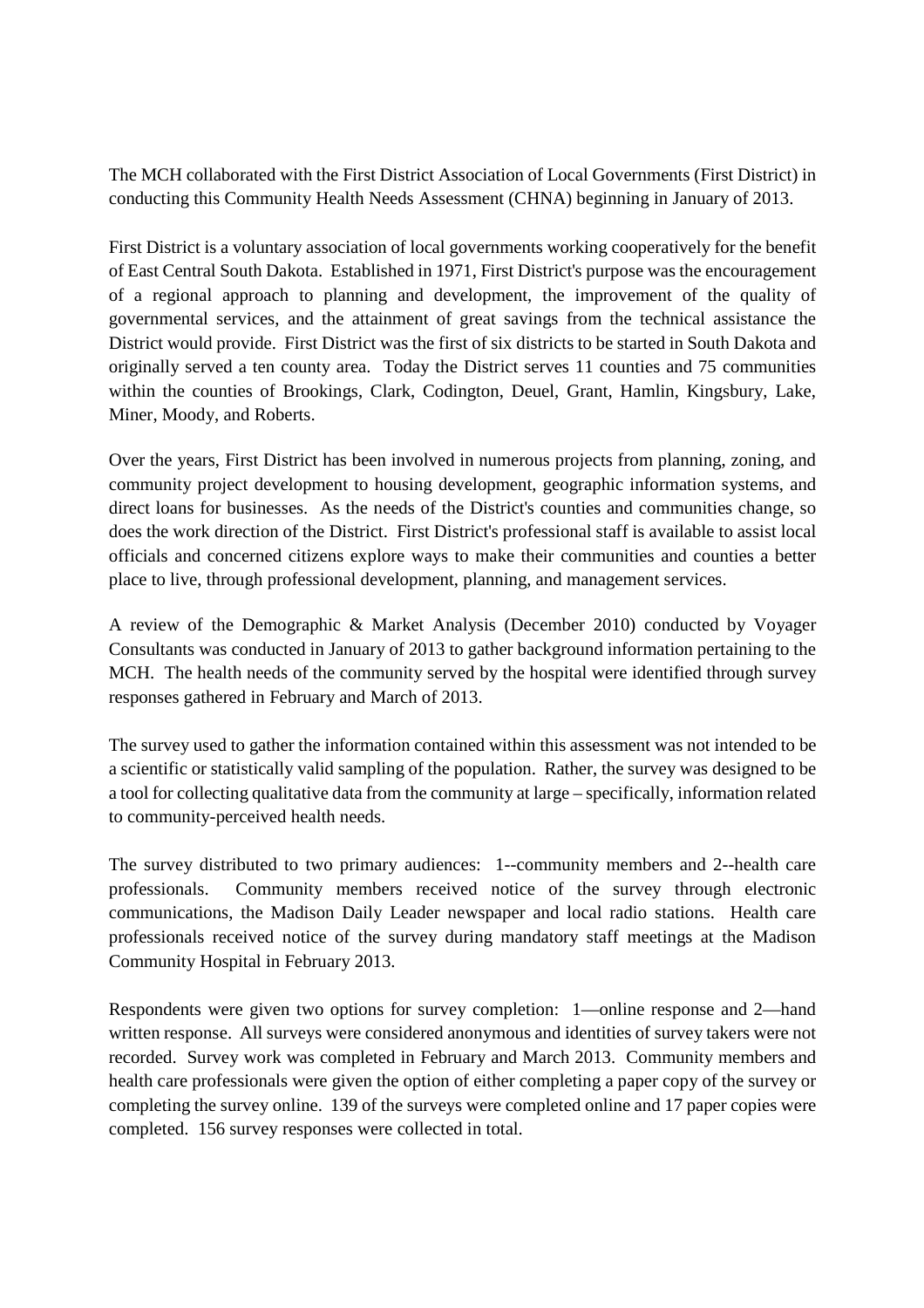The MCH collaborated with the First District Association of Local Governments (First District) in conducting this Community Health Needs Assessment (CHNA) beginning in January of 2013.

First District is a voluntary association of local governments working cooperatively for the benefit of East Central South Dakota. Established in 1971, First District's purpose was the encouragement of a regional approach to planning and development, the improvement of the quality of governmental services, and the attainment of great savings from the technical assistance the District would provide. First District was the first of six districts to be started in South Dakota and originally served a ten county area. Today the District serves 11 counties and 75 communities within the counties of Brookings, Clark, Codington, Deuel, Grant, Hamlin, Kingsbury, Lake, Miner, Moody, and Roberts.

Over the years, First District has been involved in numerous projects from planning, zoning, and community project development to housing development, geographic information systems, and direct loans for businesses. As the needs of the District's counties and communities change, so does the work direction of the District. First District's professional staff is available to assist local officials and concerned citizens explore ways to make their communities and counties a better place to live, through professional development, planning, and management services.

A review of the Demographic & Market Analysis (December 2010) conducted by Voyager Consultants was conducted in January of 2013 to gather background information pertaining to the MCH. The health needs of the community served by the hospital were identified through survey responses gathered in February and March of 2013.

The survey used to gather the information contained within this assessment was not intended to be a scientific or statistically valid sampling of the population. Rather, the survey was designed to be a tool for collecting qualitative data from the community at large – specifically, information related to community-perceived health needs.

The survey distributed to two primary audiences: 1--community members and 2--health care professionals. Community members received notice of the survey through electronic communications, the Madison Daily Leader newspaper and local radio stations. Health care professionals received notice of the survey during mandatory staff meetings at the Madison Community Hospital in February 2013.

Respondents were given two options for survey completion: 1—online response and 2—hand written response. All surveys were considered anonymous and identities of survey takers were not recorded. Survey work was completed in February and March 2013. Community members and health care professionals were given the option of either completing a paper copy of the survey or completing the survey online. 139 of the surveys were completed online and 17 paper copies were completed. 156 survey responses were collected in total.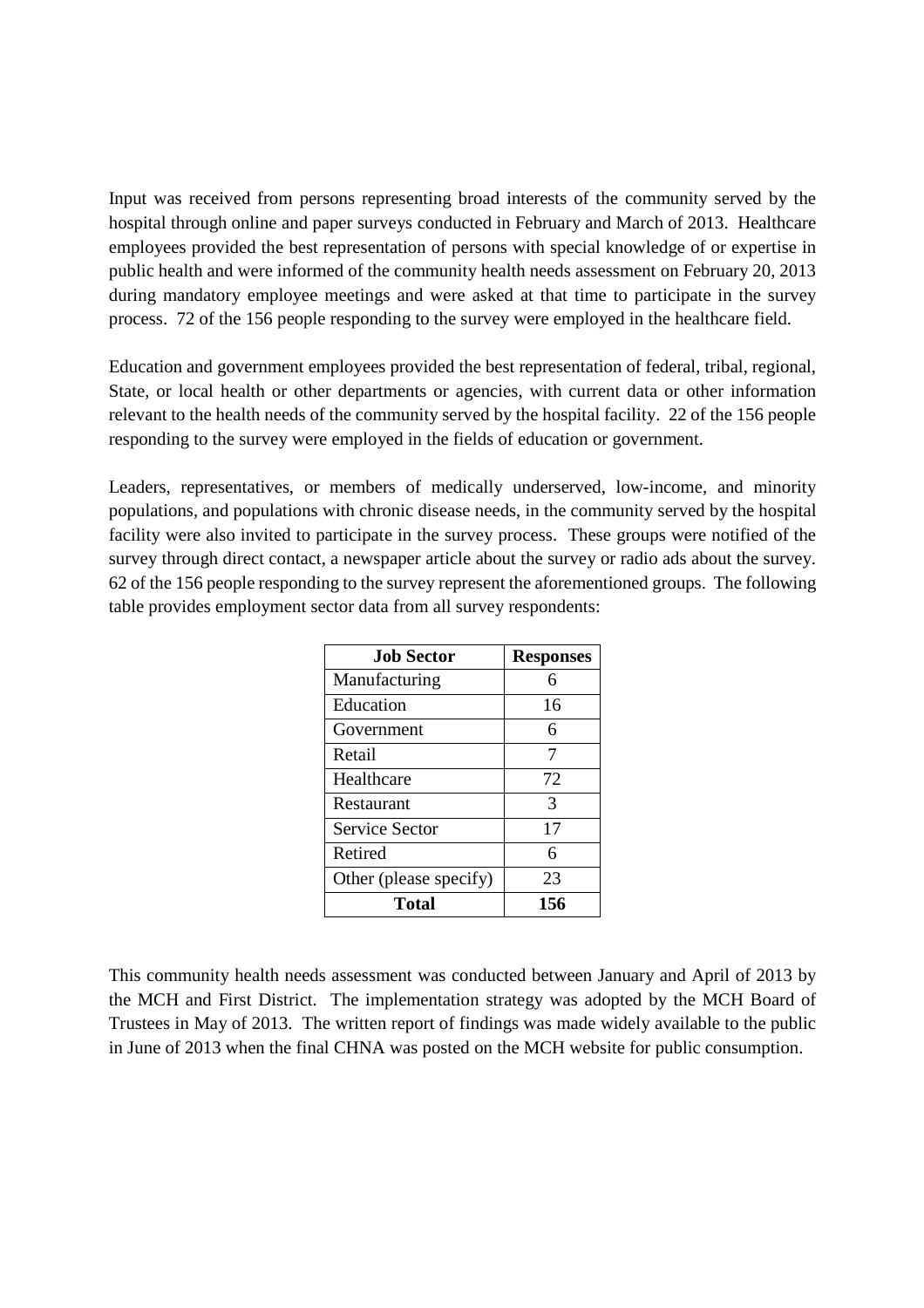Input was received from persons representing broad interests of the community served by the hospital through online and paper surveys conducted in February and March of 2013. Healthcare employees provided the best representation of persons with special knowledge of or expertise in public health and were informed of the community health needs assessment on February 20, 2013 during mandatory employee meetings and were asked at that time to participate in the survey process. 72 of the 156 people responding to the survey were employed in the healthcare field.

Education and government employees provided the best representation of federal, tribal, regional, State, or local health or other departments or agencies, with current data or other information relevant to the health needs of the community served by the hospital facility. 22 of the 156 people responding to the survey were employed in the fields of education or government.

Leaders, representatives, or members of medically underserved, low-income, and minority populations, and populations with chronic disease needs, in the community served by the hospital facility were also invited to participate in the survey process. These groups were notified of the survey through direct contact, a newspaper article about the survey or radio ads about the survey. 62 of the 156 people responding to the survey represent the aforementioned groups. The following table provides employment sector data from all survey respondents:

| <b>Job Sector</b>      | <b>Responses</b> |
|------------------------|------------------|
| Manufacturing          | 6                |
| Education              | 16               |
| Government             | 6                |
| Retail                 | 7                |
| Healthcare             | 72               |
| Restaurant             | 3                |
| <b>Service Sector</b>  | 17               |
| Retired                | 6                |
| Other (please specify) | 23               |
| Total                  | 156              |

This community health needs assessment was conducted between January and April of 2013 by the MCH and First District. The implementation strategy was adopted by the MCH Board of Trustees in May of 2013. The written report of findings was made widely available to the public in June of 2013 when the final CHNA was posted on the MCH website for public consumption.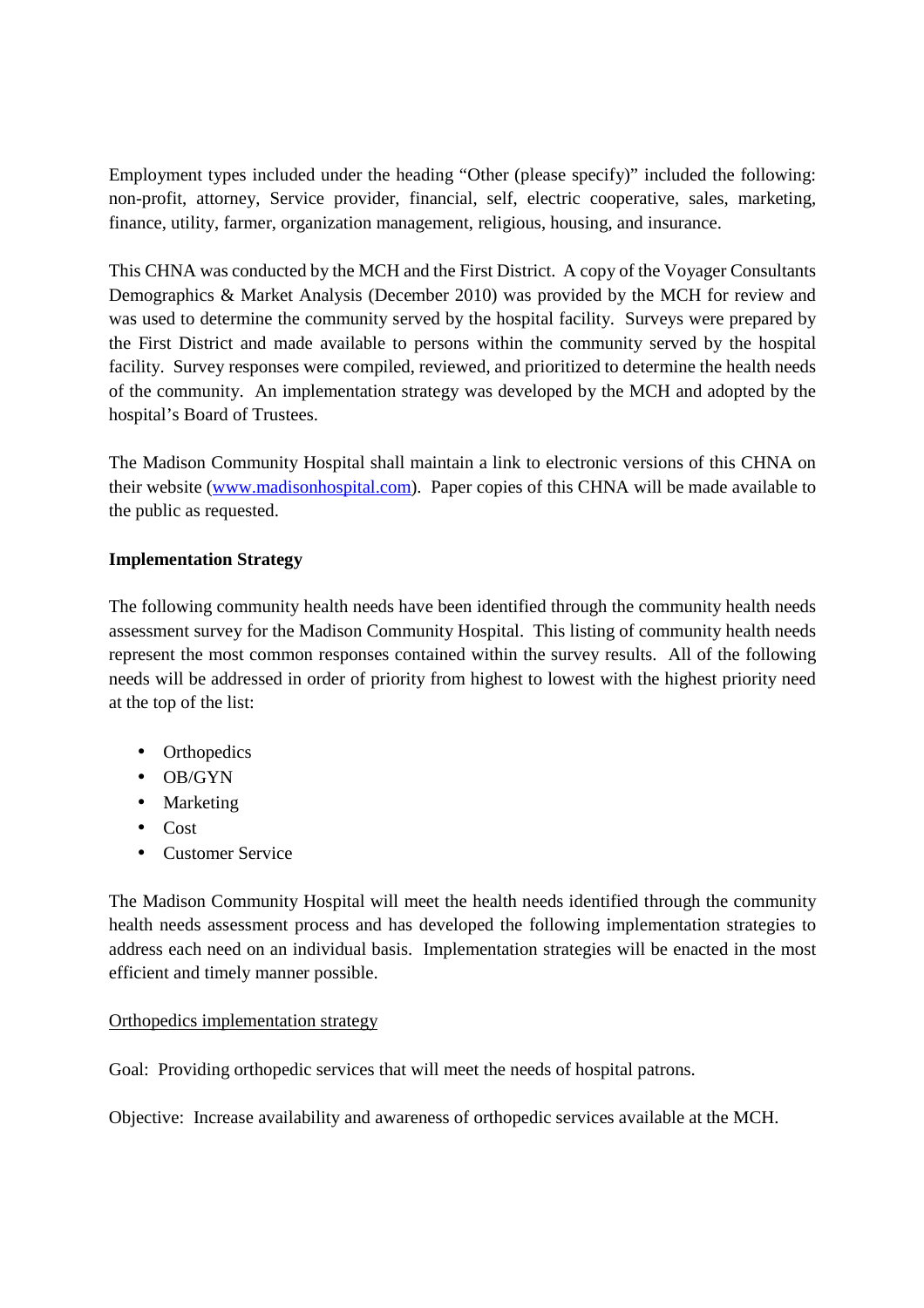Employment types included under the heading "Other (please specify)" included the following: non-profit, attorney, Service provider, financial, self, electric cooperative, sales, marketing, finance, utility, farmer, organization management, religious, housing, and insurance.

This CHNA was conducted by the MCH and the First District. A copy of the Voyager Consultants Demographics & Market Analysis (December 2010) was provided by the MCH for review and was used to determine the community served by the hospital facility. Surveys were prepared by the First District and made available to persons within the community served by the hospital facility. Survey responses were compiled, reviewed, and prioritized to determine the health needs of the community. An implementation strategy was developed by the MCH and adopted by the hospital's Board of Trustees.

The Madison Community Hospital shall maintain a link to electronic versions of this CHNA on their website (www.madisonhospital.com). Paper copies of this CHNA will be made available to the public as requested.

## **Implementation Strategy**

The following community health needs have been identified through the community health needs assessment survey for the Madison Community Hospital. This listing of community health needs represent the most common responses contained within the survey results. All of the following needs will be addressed in order of priority from highest to lowest with the highest priority need at the top of the list:

- Orthopedics
- OB/GYN
- Marketing
- Cost
- Customer Service

The Madison Community Hospital will meet the health needs identified through the community health needs assessment process and has developed the following implementation strategies to address each need on an individual basis. Implementation strategies will be enacted in the most efficient and timely manner possible.

### Orthopedics implementation strategy

Goal: Providing orthopedic services that will meet the needs of hospital patrons.

Objective: Increase availability and awareness of orthopedic services available at the MCH.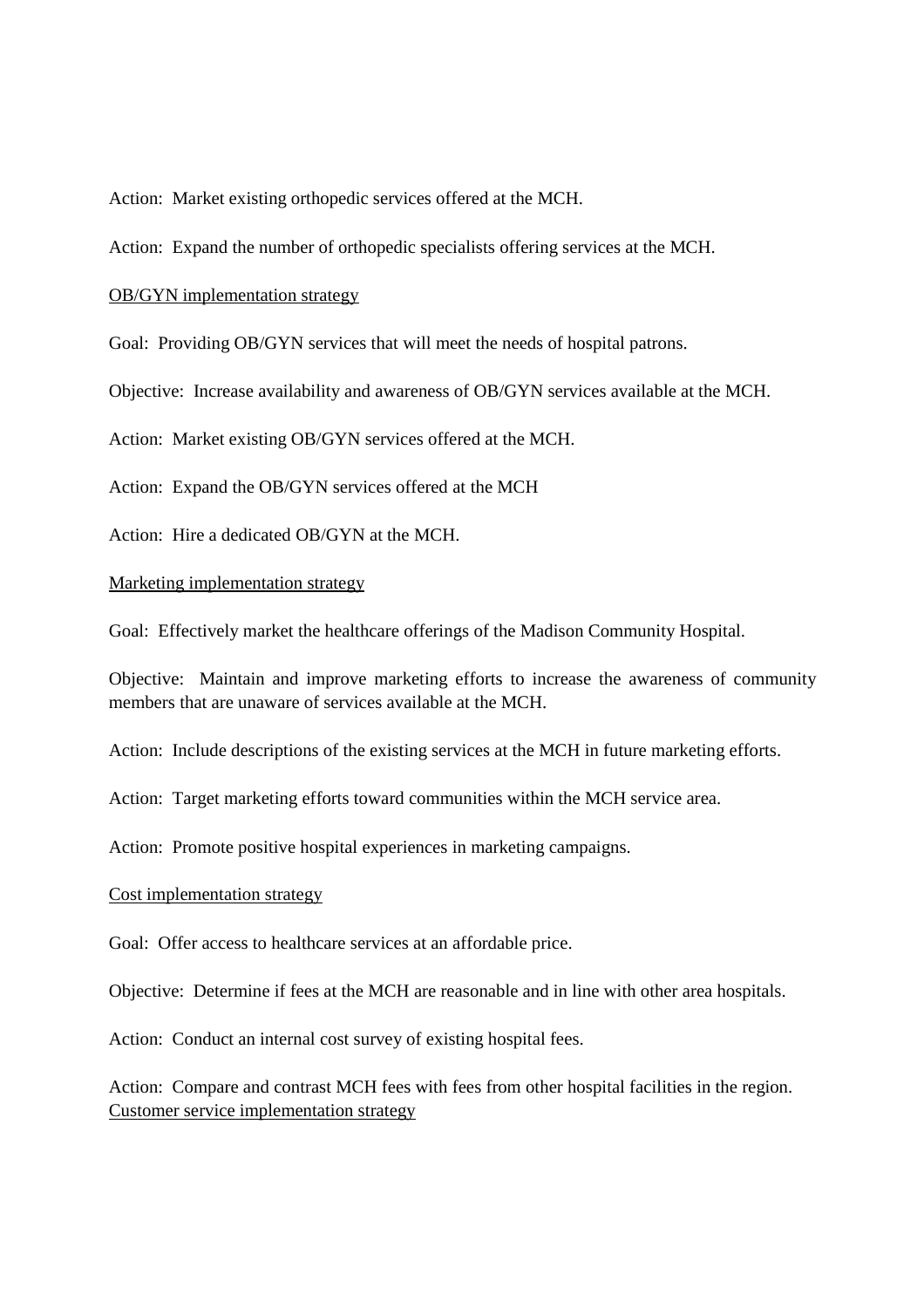Action: Market existing orthopedic services offered at the MCH.

Action: Expand the number of orthopedic specialists offering services at the MCH.

#### OB/GYN implementation strategy

Goal: Providing OB/GYN services that will meet the needs of hospital patrons.

Objective: Increase availability and awareness of OB/GYN services available at the MCH.

Action: Market existing OB/GYN services offered at the MCH.

Action: Expand the OB/GYN services offered at the MCH

Action: Hire a dedicated OB/GYN at the MCH.

#### Marketing implementation strategy

Goal: Effectively market the healthcare offerings of the Madison Community Hospital.

Objective: Maintain and improve marketing efforts to increase the awareness of community members that are unaware of services available at the MCH.

Action: Include descriptions of the existing services at the MCH in future marketing efforts.

Action: Target marketing efforts toward communities within the MCH service area.

Action: Promote positive hospital experiences in marketing campaigns.

#### Cost implementation strategy

Goal: Offer access to healthcare services at an affordable price.

Objective: Determine if fees at the MCH are reasonable and in line with other area hospitals.

Action: Conduct an internal cost survey of existing hospital fees.

Action: Compare and contrast MCH fees with fees from other hospital facilities in the region. Customer service implementation strategy